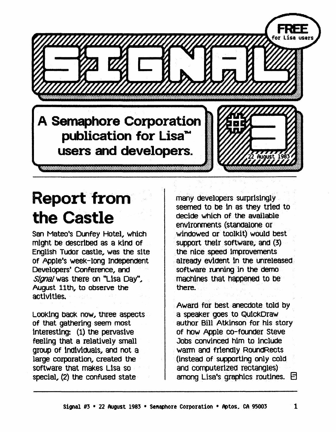**A Semaphore Corporation publication for** Lisa~ **users and developers.** 

## **Report from the Castle**

San Mateo's Dunfey Hotel, which might be described as a Kind of English Tudor castle, was the sIte of Apple's week-long Independent Developers' Conference, and *Slgnal* was there on "Lisa Day", August 11th, to observe the activities.

LOOking back now, three aspects of that gathering· seem most interesting: (1) the pervasive feeling that a relatively small group of individuals, and not a large corporation, created the SOftware that makes LIsa so special, (2) the confused state

many. developers surprisIngly seemed to be in as they tried to decide which of· the available envIronments (standalone or windowed or toolkit) would best support their software, and (3).<br>the nice speed improvements already evident In the unreleased software running in the demo macnines that nappenea to De there.

Hugust 196

Award for best anecdote told by a speaker goes to QulckDraw author Bill Atkinson for his story of now Apple co-founder Steve Jobs convinced him to include warm· and friendly RoundRects (instead of supporting only cold and computerIzed rectangles) among Lisa's graphics routines.  $\boxdot$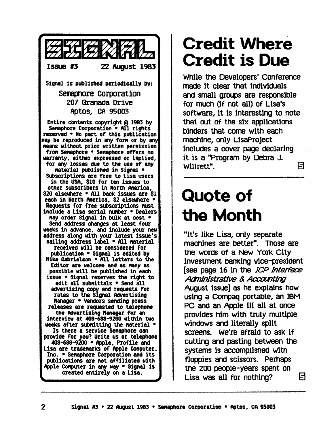

#### **Credit Where Credit is Due**

wnlle tne Developers' Conference made it clear that individuals and small groups are responsible for much (If not all) of Lisa's software, It Is Interesting to note that out of the six applications binders that come with each machine, only LisaProject includes a cover page deClaring it is a "Program by Debra J. Willrett". How Hotel Hotel Hotel Hotel Hotel Hotel Hotel Hotel Hotel Hotel Hotel Hotel Hotel Hotel Hotel Hotel

## **Quote of the Month**

"It's like Lisa, only separate machines are better". Those are the words of a New York City Investment banking vIce-president [see page 16 in the *ICP Interface* AaTIln1strative & *Accantlng*  August issue] as he explains how using a compaq portable, an IBM PC and an Apple III all at once provides him with truly multiple windows and literally split screens. We're afraid to ask if cutting and pasting between the systems is accomplished with floppies and scissors. Perhaps me 200 people-years spent on Lisa was all for nothing?  $\Box$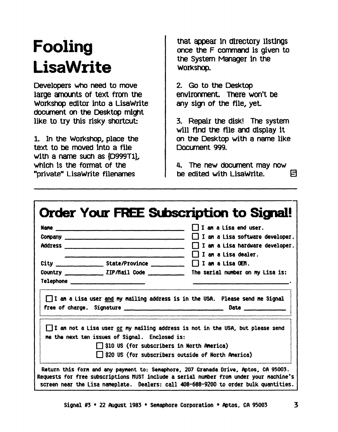# Fooling **LisaWrite**

Developers who need to move large amounts of text from the Workshop editor into a LisaWrite document on the Desktop might like to try this risky shortcut:

1. In the Workshop, place the text to be moved into a file with a name such as (D999T1). which is the format of the "private" LisaWrite filenames

that appear in directory listings once the F command is given to the System Manager in the WOrkshop.

2. Go to the Desktop environment. There won't be any sign of the file, yet.

3. Repair the disk! The system will find the file and display it on the Desktop with a name like Document 999.

4. The new document may now be edited with LisaWrite. 8

|                                                                                                     | $\Box$ I am a Lisa end user.                                                                                                                             |
|-----------------------------------------------------------------------------------------------------|----------------------------------------------------------------------------------------------------------------------------------------------------------|
|                                                                                                     | I I am a Lisa software developer.                                                                                                                        |
|                                                                                                     | $\Box$ I am a Lisa hardware developer.                                                                                                                   |
|                                                                                                     | II an a Lisa dealer.                                                                                                                                     |
|                                                                                                     |                                                                                                                                                          |
|                                                                                                     | Country _______________ ZIP/Mail Code ______________ The serial number on my Lisa is:                                                                    |
| Telephone _____________________________                                                             |                                                                                                                                                          |
|                                                                                                     | I I am a Lisa user and my mailing address is in the USA. Please send me Signal                                                                           |
| me the next ten issues of Signal. Enclosed is:<br>$\Box$ \$10 US (for subscribers in North America) | $\Box$ I an not a Lisa user <u>or</u> my nailing address is not in the USA, but please send<br>$\Box$ \$20 US (for subscribers outside of North America) |